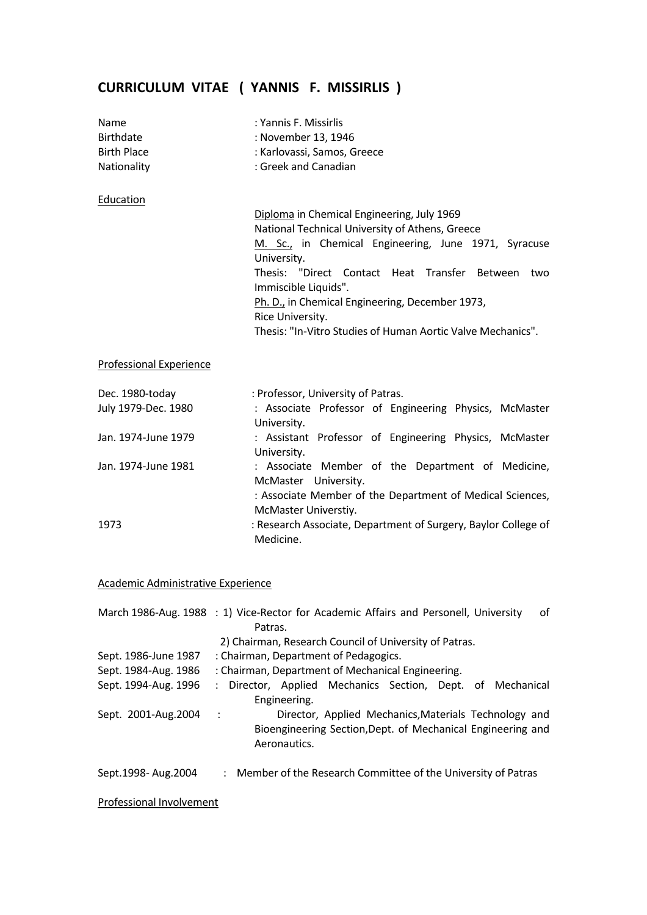# **CURRICULUM VITAE ( YANNIS F. MISSIRLIS )**

| Name<br><b>Birthdate</b><br><b>Birth Place</b><br>Nationality | : Yannis F. Missirlis<br>: November 13, 1946<br>: Karlovassi, Samos, Greece<br>: Greek and Canadian                                                                                                                                                                                                     |
|---------------------------------------------------------------|---------------------------------------------------------------------------------------------------------------------------------------------------------------------------------------------------------------------------------------------------------------------------------------------------------|
| Education                                                     |                                                                                                                                                                                                                                                                                                         |
|                                                               | Diploma in Chemical Engineering, July 1969<br>National Technical University of Athens, Greece<br>M. Sc., in Chemical Engineering, June 1971, Syracuse<br>University.<br>Thesis: "Direct Contact Heat Transfer Between<br>two<br>Immiscible Liquids".<br>Ph. D., in Chemical Engineering, December 1973, |
|                                                               | Rice University.<br>Thesis: "In-Vitro Studies of Human Aortic Valve Mechanics".                                                                                                                                                                                                                         |
| <b>Professional Experience</b>                                |                                                                                                                                                                                                                                                                                                         |
| Dec. 1980-today                                               | : Professor, University of Patras.                                                                                                                                                                                                                                                                      |
| July 1979-Dec. 1980                                           | : Associate Professor of Engineering Physics, McMaster<br>University.                                                                                                                                                                                                                                   |
| Jan. 1974-June 1979                                           | : Assistant Professor of Engineering Physics, McMaster<br>University.                                                                                                                                                                                                                                   |
| Jan. 1974-June 1981                                           | : Associate Member of the Department of Medicine,<br>McMaster University.<br>: Associate Member of the Department of Medical Sciences,<br>McMaster Universtiy.                                                                                                                                          |
| 1973                                                          | : Research Associate, Department of Surgery, Baylor College of<br>Medicine.                                                                                                                                                                                                                             |

## Academic Administrative Experience

|                          | March 1986-Aug. 1988 : 1) Vice-Rector for Academic Affairs and Personell, University<br>οf                                                        |
|--------------------------|---------------------------------------------------------------------------------------------------------------------------------------------------|
|                          | Patras.                                                                                                                                           |
|                          | 2) Chairman, Research Council of University of Patras.                                                                                            |
| Sept. 1986-June 1987     | : Chairman, Department of Pedagogics.                                                                                                             |
| Sept. 1984-Aug. 1986     | : Chairman, Department of Mechanical Engineering.                                                                                                 |
| Sept. 1994-Aug. 1996     | : Director, Applied Mechanics Section, Dept. of Mechanical<br>Engineering.                                                                        |
| Sept. 2001-Aug. 2004     | Director, Applied Mechanics, Materials Technology and<br>$\cdot$ :<br>Bioengineering Section, Dept. of Mechanical Engineering and<br>Aeronautics. |
| Sept.1998- Aug.2004      | : Member of the Research Committee of the University of Patras                                                                                    |
| Professional Involvement |                                                                                                                                                   |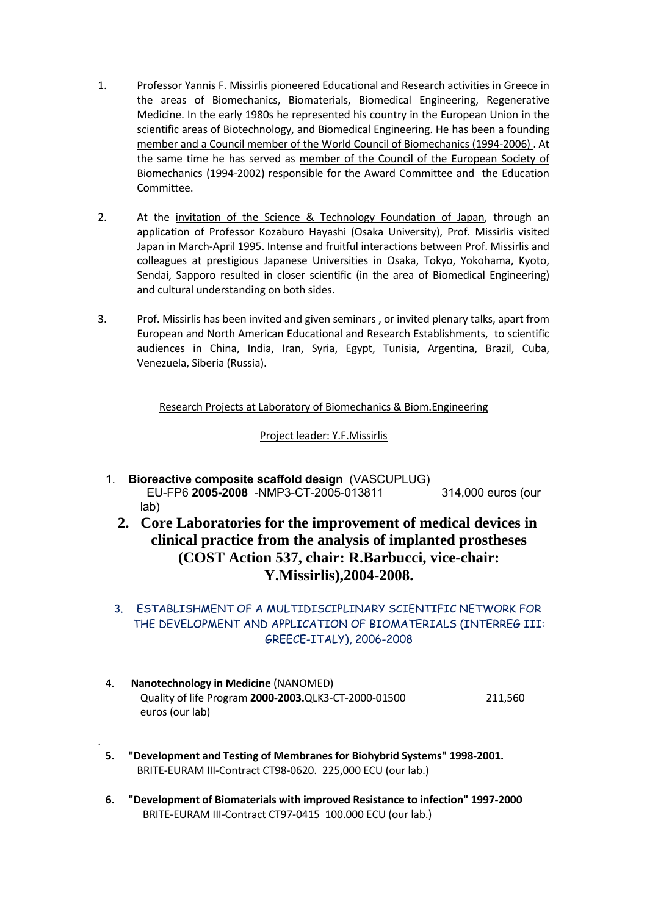- 1. Professor Yannis F. Missirlis pioneered Educational and Research activities in Greece in the areas of Biomechanics, Biomaterials, Biomedical Engineering, Regenerative Medicine. In the early 1980s he represented his country in the European Union in the scientific areas of Biotechnology, and Biomedical Engineering. He has been a founding member and a Council member of the World Council of Biomechanics (1994‐2006) . At the same time he has served as member of the Council of the European Society of Biomechanics (1994‐2002) responsible for the Award Committee and the Education Committee.
- 2. At the invitation of the Science & Technology Foundation of Japan, through an application of Professor Kozaburo Hayashi (Osaka University), Prof. Missirlis visited Japan in March‐April 1995. Intense and fruitful interactions between Prof. Missirlis and colleagues at prestigious Japanese Universities in Osaka, Tokyo, Yokohama, Kyoto, Sendai, Sapporo resulted in closer scientific (in the area of Biomedical Engineering) and cultural understanding on both sides.
- 3. Prof. Missirlis has been invited and given seminars , or invited plenary talks, apart from European and North American Educational and Research Establishments, to scientific audiences in China, India, Iran, Syria, Egypt, Tunisia, Argentina, Brazil, Cuba, Venezuela, Siberia (Russia).

Research Projects at Laboratory of Biomechanics & Biom.Engineering

Project leader: Y.F.Missirlis

- 1. **Bioreactive composite scaffold design** (VASCUPLUG) EU-FP6 **2005-2008** -NMP3-CT-2005-013811 314,000 euros (our lab)
	- **2. Core Laboratories for the improvement of medical devices in clinical practice from the analysis of implanted prostheses (COST Action 537, chair: R.Barbucci, vice-chair: Y.Missirlis),2004-2008.**
	- 3. ESTABLISHMENT OF A MULTIDISCIPLINARY SCIENTIFIC NETWORK FOR THE DEVELOPMENT AND APPLICATION OF BIOMATERIALS (INTERREG III: GREECE-ITALY), 2006-2008
- 4. **Nanotechnology in Medicine** (NANOMED) Quality of life Program **2000‐2003.**QLK3‐CT‐2000‐01500 211,560 euros (our lab)
- **5. "Development and Testing of Membranes for Biohybrid Systems" 1998‐2001.** BRITE‐EURAM III‐Contract CT98‐0620. 225,000 ECU (our lab.)

.

**6. "Development of Biomaterials with improved Resistance to infection" 1997‐2000** BRITE‐EURAM III‐Contract CT97‐0415 100.000 ECU (our lab.)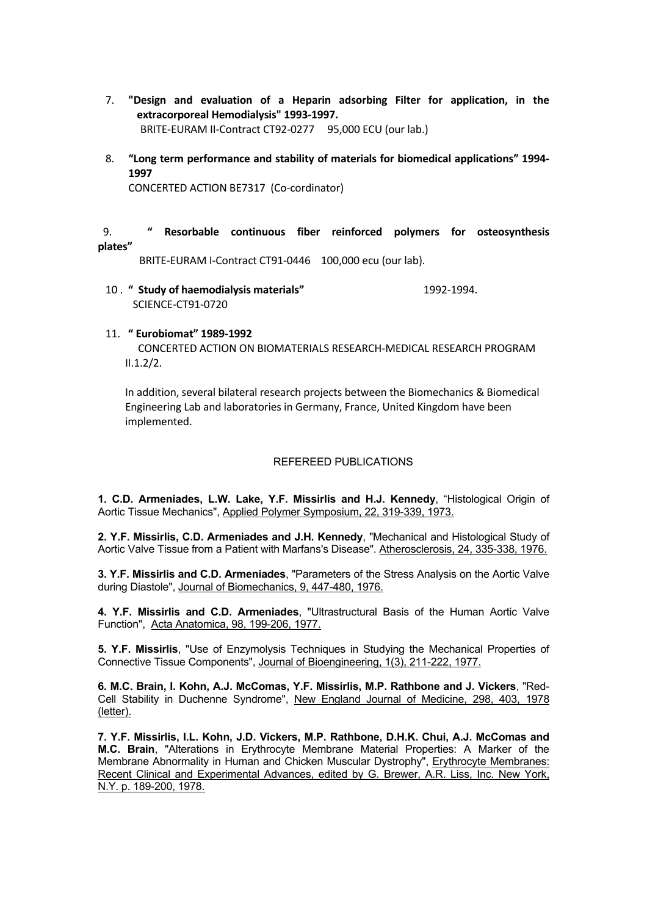- 7. **"Design and evaluation of a Heparin adsorbing Filter for application, in the extracorporeal Hemodialysis" 1993‐1997.** BRITE‐EURAM II‐Contract CT92‐0277 95,000 ECU (our lab.)
- 8. **"Long term performance and stability of materials for biomedical applications" 1994‐ 1997**

CONCERTED ACTION BE7317 (Co‐cordinator)

#### 9. **" Resorbable continuous fiber reinforced polymers for osteosynthesis plates"**

BRITE‐EURAM I‐Contract CT91‐0446 100,000 ecu (our lab).

10 . **" Study of haemodialysis materials"** 1992‐1994. SCIENCE‐CT91‐0720

#### 11. **" Eurobiomat" 1989‐1992**

CONCERTED ACTION ON BIOMATERIALS RESEARCH‐MEDICAL RESEARCH PROGRAM  $II.1.2/2.$ 

In addition, several bilateral research projects between the Biomechanics & Biomedical Engineering Lab and laboratories in Germany, France, United Kingdom have been implemented.

### REFEREED PUBLICATIONS

**1. C.D. Armeniades, L.W. Lake, Y.F. Missirlis and H.J. Kennedy**, "Histological Origin of Aortic Tissue Mechanics", Applied Polymer Symposium, 22, 319-339, 1973.

**2. Y.F. Missirlis, C.D. Armeniades and J.H. Kennedy**, "Mechanical and Histological Study of Aortic Valve Tissue from a Patient with Marfans's Disease". Atherosclerosis, 24, 335-338, 1976.

**3. Y.F. Missirlis and C.D. Armeniades**, "Parameters of the Stress Analysis on the Aortic Valve during Diastole", Journal of Biomechanics, 9, 447-480, 1976.

**4. Y.F. Missirlis and C.D. Armeniades**, "Ultrastructural Basis of the Human Aortic Valve Function", Acta Anatomica, 98, 199-206, 1977.

**5. Y.F. Missirlis**, "Use of Enzymolysis Techniques in Studying the Mechanical Properties of Connective Tissue Components", Journal of Bioengineering, 1(3), 211-222, 1977.

**6. M.C. Brain, I. Kohn, A.J. McComas, Y.F. Missirlis, M.P. Rathbone and J. Vickers**, "Red-Cell Stability in Duchenne Syndrome", New England Journal of Medicine, 298, 403, 1978 (letter).

**7. Y.F. Missirlis, I.L. Kohn, J.D. Vickers, M.P. Rathbone, D.H.K. Chui, A.J. McComas and M.C. Brain**, "Alterations in Erythrocyte Membrane Material Properties: A Marker of the Membrane Abnormality in Human and Chicken Muscular Dystrophy", Erythrocyte Membranes: Recent Clinical and Experimental Advances, edited by G. Brewer, A.R. Liss, Inc. New York, N.Y. p. 189-200, 1978.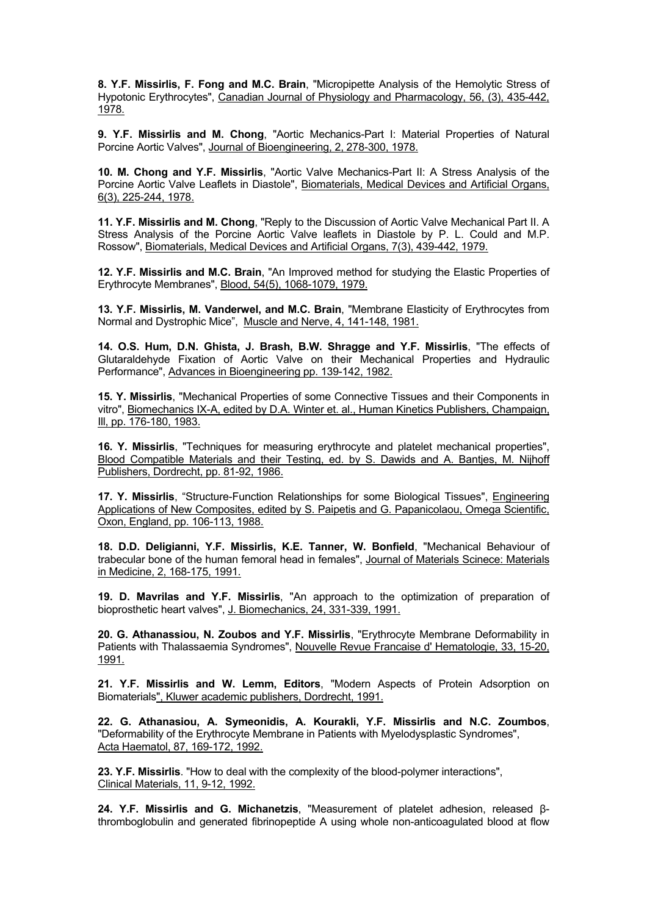**8. Y.F. Missirlis, F. Fong and M.C. Brain**, "Micropipette Analysis of the Hemolytic Stress of Hypotonic Erythrocytes", Canadian Journal of Physiology and Pharmacology, 56, (3), 435-442, 1978.

**9. Y.F. Missirlis and M. Chong**, "Aortic Mechanics-Part I: Material Properties of Natural Porcine Aortic Valves", Journal of Bioengineering, 2, 278-300, 1978.

**10. M. Chong and Y.F. Missirlis**, "Aortic Valve Mechanics-Part II: A Stress Analysis of the Porcine Aortic Valve Leaflets in Diastole", Biomaterials, Medical Devices and Artificial Organs, 6(3), 225-244, 1978.

**11. Y.F. Missirlis and M. Chong**, "Reply to the Discussion of Aortic Valve Mechanical Part II. A Stress Analysis of the Porcine Aortic Valve leaflets in Diastole by P. L. Could and M.P. Rossow", Biomaterials, Medical Devices and Artificial Organs, 7(3), 439-442, 1979.

**12. Y.F. Missirlis and M.C. Brain**, "An Improved method for studying the Elastic Properties of Erythrocyte Membranes", Blood, 54(5), 1068-1079, 1979.

**13. Y.F. Missirlis, M. Vanderwel, and M.C. Brain**, "Membrane Elasticity of Erythrocytes from Normal and Dystrophic Mice", Muscle and Nerve, 4, 141-148, 1981.

**14. O.S. Hum, D.N. Ghista, J. Brash, B.W. Shragge and Y.F. Missirlis**, "The effects of Glutaraldehyde Fixation of Aortic Valve on their Mechanical Properties and Hydraulic Performance", Advances in Bioengineering pp. 139-142, 1982.

**15. Y. Missirlis**, "Mechanical Properties of some Connective Tissues and their Components in vitro", Biomechanics IX-A, edited by D.A. Winter et. al., Human Kinetics Publishers, Champaign, Ill, pp. 176-180, 1983.

**16. Y. Missirlis**, "Techniques for measuring erythrocyte and platelet mechanical properties", Blood Compatible Materials and their Testing, ed. by S. Dawids and A. Bantjes, M. Nijhoff Publishers, Dordrecht, pp. 81-92, 1986.

**17. Y. Missirlis**, "Structure-Function Relationships for some Biological Tissues", Engineering Applications of New Composites, edited by S. Paipetis and G. Papanicolaou, Omega Scientific, Oxon, England, pp. 106-113, 1988.

**18. D.D. Deligianni, Y.F. Missirlis, K.E. Tanner, W. Bonfield**, "Mechanical Behaviour of trabecular bone of the human femoral head in females", Journal of Materials Scinece: Materials in Medicine, 2, 168-175, 1991.

**19. D. Mavrilas and Y.F. Missirlis**, "An approach to the optimization of preparation of bioprosthetic heart valves", J. Biomechanics, 24, 331-339, 1991.

**20. G. Athanassiou, N. Zoubos and Y.F. Missirlis**, "Erythrocyte Membrane Deformability in Patients with Thalassaemia Syndromes", Nouvelle Revue Francaise d' Hematologie, 33, 15-20, 1991.

**21. Y.F. Missirlis and W. Lemm, Editors**, "Modern Aspects of Protein Adsorption on Biomaterials", Kluwer academic publishers, Dordrecht, 1991.

**22. G. Athanasiou, A. Symeonidis, A. Kourakli, Y.F. Missirlis and N.C. Zoumbos**, "Deformability of the Erythrocyte Membrane in Patients with Myelodysplastic Syndromes", Acta Haematol, 87, 169-172, 1992.

**23. Y.F. Missirlis**. "How to deal with the complexity of the blood-polymer interactions", Clinical Materials, 11, 9-12, 1992.

**24. Y.F. Missirlis and G. Michanetzis**, "Measurement of platelet adhesion, released βthromboglobulin and generated fibrinopeptide A using whole non-anticoagulated blood at flow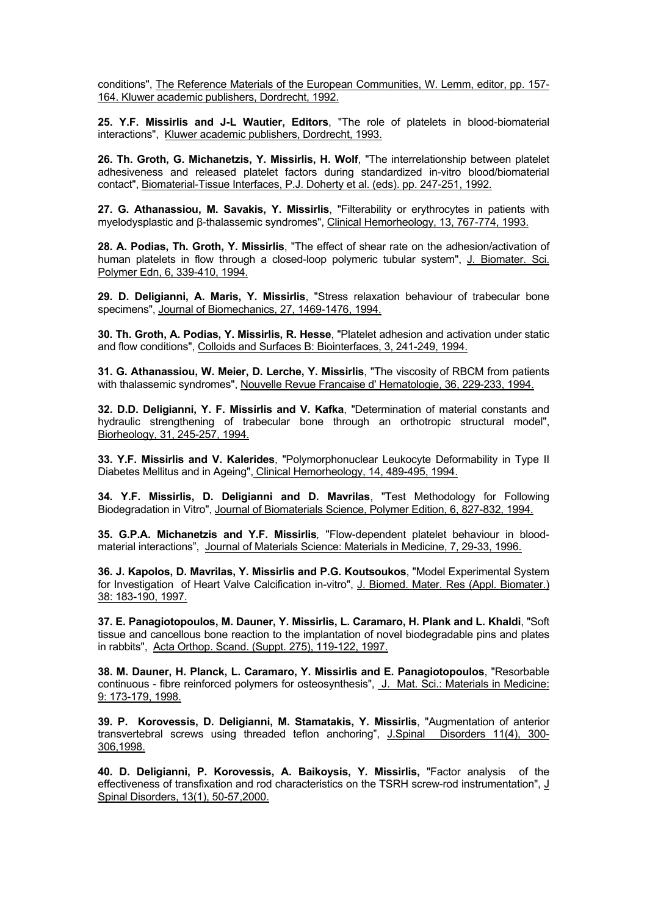conditions", The Reference Materials of the European Communities, W. Lemm, editor, pp. 157- 164. Kluwer academic publishers, Dordrecht, 1992.

**25. Y.F. Missirlis and J-L Wautier, Editors**, "The role of platelets in blood-biomaterial interactions", Kluwer academic publishers, Dordrecht, 1993.

**26. Th. Groth, G. Michanetzis, Y. Missirlis, H. Wolf**, "The interrelationship between platelet adhesiveness and released platelet factors during standardized in-vitro blood/biomaterial contact", Biomaterial-Tissue Interfaces, P.J. Doherty et al. (eds). pp. 247-251, 1992.

**27. G. Athanassiou, M. Savakis, Y. Missirlis**, "Filterability or erythrocytes in patients with myelodysplastic and β-thalassemic syndromes", Clinical Hemorheology, 13, 767-774, 1993.

**28. A. Podias, Th. Groth, Y. Missirlis**, "The effect of shear rate on the adhesion/activation of human platelets in flow through a closed-loop polymeric tubular system", J. Biomater. Sci. Polymer Edn, 6, 339-410, 1994.

**29. D. Deligianni, A. Maris, Y. Missirlis**, "Stress relaxation behaviour of trabecular bone specimens", Journal of Biomechanics, 27, 1469-1476, 1994.

**30. Th. Groth, A. Podias, Y. Missirlis, R. Hesse**, "Platelet adhesion and activation under static and flow conditions", Colloids and Surfaces B: Biointerfaces, 3, 241-249, 1994.

**31. G. Athanassiou, W. Meier, D. Lerche, Y. Missirlis**, "The viscosity of RBCM from patients with thalassemic syndromes", Nouvelle Revue Francaise d' Hematologie, 36, 229-233, 1994.

**32. D.D. Deligianni, Y. F. Missirlis and V. Kafka**, "Determination of material constants and hydraulic strengthening of trabecular bone through an orthotropic structural model", Biorheology, 31, 245-257, 1994.

**33. Y.F. Missirlis and V. Kalerides**, "Polymorphonuclear Leukocyte Deformability in Type II Diabetes Mellitus and in Ageing", Clinical Hemorheology, 14, 489-495, 1994.

**34. Y.F. Missirlis, D. Deligianni and D. Mavrilas**, "Test Methodology for Following Biodegradation in Vitro", Journal of Biomaterials Science, Polymer Edition, 6, 827-832, 1994.

**35. G.P.A. Michanetzis and Y.F. Missirlis***,* "Flow-dependent platelet behaviour in bloodmaterial interactions", Journal of Materials Science: Materials in Medicine, 7, 29-33, 1996.

**36. J. Kapolos, D. Mavrilas, Y. Missirlis and P.G. Koutsoukos**, "Model Experimental System for Investigation of Heart Valve Calcification in-vitro", J. Biomed. Mater. Res (Appl. Biomater.) 38: 183-190, 1997.

**37. E. Panagiotopoulos, M. Dauner, Y. Missirlis, L. Caramaro, H. Plank and L. Khaldi**, "Soft tissue and cancellous bone reaction to the implantation of novel biodegradable pins and plates in rabbits", Acta Orthop. Scand. (Suppt. 275), 119-122, 1997.

**38. M. Dauner, H. Planck, L. Caramaro, Y. Missirlis and E. Panagiotopoulos**, "Resorbable continuous - fibre reinforced polymers for osteosynthesis", J. Mat. Sci.: Materials in Medicine: 9: 173-179, 1998.

**39. P. Korovessis, D. Deligianni, M. Stamatakis, Y. Missirlis**, "Augmentation of anterior transvertebral screws using threaded teflon anchoring", J.Spinal Disorders 11(4), 300- 306,1998.

**40. D. Deligianni, P. Korovessis, A. Baikoysis, Y. Missirlis,** "Factor analysis of the effectiveness of transfixation and rod characteristics on the TSRH screw-rod instrumentation", J Spinal Disorders, 13(1), 50-57,2000.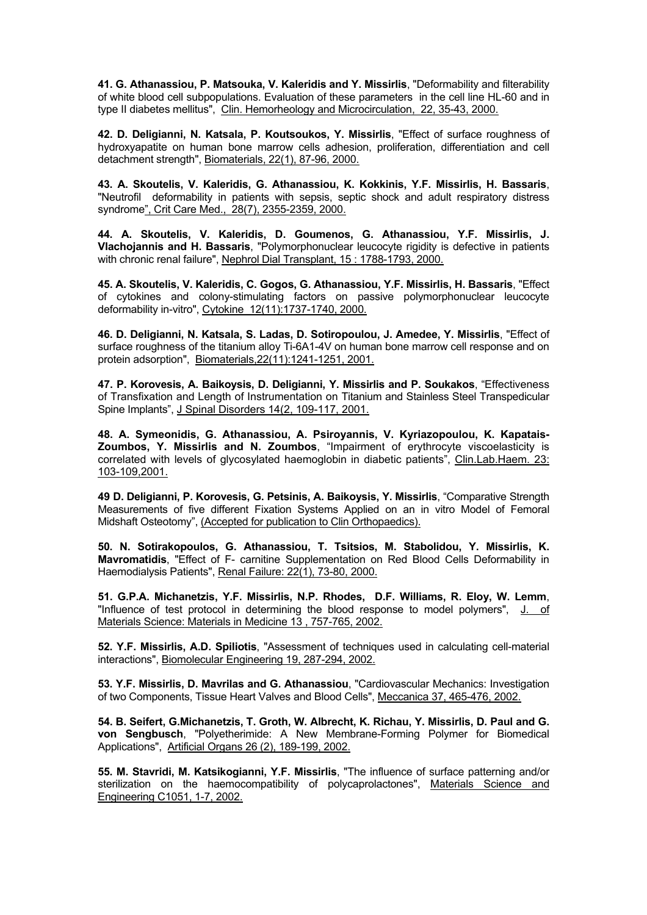**41. G. Athanassiou, P. Matsouka, V. Kaleridis and Y. Missirlis**, "Deformability and filterability of white blood cell subpopulations. Evaluation of these parameters in the cell line HL-60 and in type II diabetes mellitus", Clin. Hemorheology and Microcirculation, 22, 35-43, 2000.

**42. D. Deligianni, N. Katsala, P. Koutsoukos, Y. Missirlis**, "Effect of surface roughness of hydroxyapatite on human bone marrow cells adhesion, proliferation, differentiation and cell detachment strength", Biomaterials, 22(1), 87-96, 2000.

**43. A. Skoutelis, V. Kaleridis, G. Athanassiou, K. Kokkinis, Y.F. Missirlis, H. Bassaris**, "Neutrofil deformability in patients with sepsis, septic shock and adult respiratory distress syndrome", Crit Care Med., 28(7), 2355-2359, 2000.

**44. A. Skoutelis, V. Kaleridis, D. Goumenos, G. Athanassiou, Y.F. Missirlis, J. Vlachojannis and H. Bassaris**, "Polymorphonuclear leucocyte rigidity is defective in patients with chronic renal failure", Nephrol Dial Transplant, 15 : 1788-1793, 2000.

**45. A. Skoutelis, V. Kaleridis, C. Gogos, G. Athanassiou, Y.F. Missirlis, H. Bassaris**, "Effect of cytokines and colony-stimulating factors on passive polymorphonuclear leucocyte deformability in-vitro", Cytokine 12(11):1737-1740, 2000.

**46. D. Deligianni, N. Katsala, S. Ladas, D. Sotiropoulou, J. Amedee, Y. Missirlis**, "Effect of surface roughness of the titanium alloy Ti-6A1-4V on human bone marrow cell response and on protein adsorption", Biomaterials,22(11):1241-1251, 2001.

**47. P. Korovesis, Α. Βaikoysis, D. Deligianni, Υ. Missirlis and P. Soukakos**, "Effectiveness of Transfixation and Length of Instrumentation on Titanium and Stainless Steel Transpedicular Spine Implants", J Spinal Disorders 14(2, 109-117, 2001.

**48. A. Symeonidis, G. Athanassiou, A. Psiroyannis, V. Kyriazopoulou, K. Kapatais-Zoumbos, Y. Missirlis and N. Zoumbos**, "Impairment of erythrocyte viscoelasticity is correlated with levels of glycosylated haemoglobin in diabetic patients", Clin.Lab.Haem. 23: 103-109,2001.

**49 D. Deligianni, P. Korovesis, G. Petsinis, Α. Βaikoysis, Y. Missirlis**, "Comparative Strength Measurements of five different Fixation Systems Applied on an in vitro Model of Femoral Midshaft Osteotomy", (Accepted for publication to Clin Orthopaedics).

**50. N. Sotirakopoulos, G. Athanassiou, T. Tsitsios, M. Stabolidou, Y. Missirlis, K. Mavromatidis**, "Effect of F- carnitine Supplementation on Red Blood Cells Deformability in Haemodialysis Patients", Renal Failure: 22(1), 73-80, 2000.

**51. G.P.A. Michanetzis, Y.F. Missirlis, N.P. Rhodes, D.F. Williams, R. Eloy, W. Lemm**, "Influence of test protocol in determining the blood response to model polymers", J. of Materials Science: Materials in Medicine 13 , 757-765, 2002.

**52. Y.F. Missirlis, A.D. Spiliotis**, "Assessment of techniques used in calculating cell-material interactions", Biomolecular Engineering 19, 287-294, 2002.

**53. Y.F. Missirlis, D. Mavrilas and G. Athanassiou**, "Cardiovascular Mechanics: Investigation of two Components, Tissue Heart Valves and Blood Cells", Meccanica 37, 465-476, 2002.

**54. B. Seifert, G.Michanetzis, T. Groth, W. Albrecht, K. Richau, Y. Missirlis, D. Paul and G. von Sengbusch**, "Polyetherimide: A New Membrane-Forming Polymer for Biomedical Applications", Artificial Organs 26 (2), 189-199, 2002.

**55. M. Stavridi, M. Katsikogianni, Y.F. Missirlis**, "The influence of surface patterning and/or sterilization on the haemocompatibility of polycaprolactones", Materials Science and Engineering C1051, 1-7, 2002.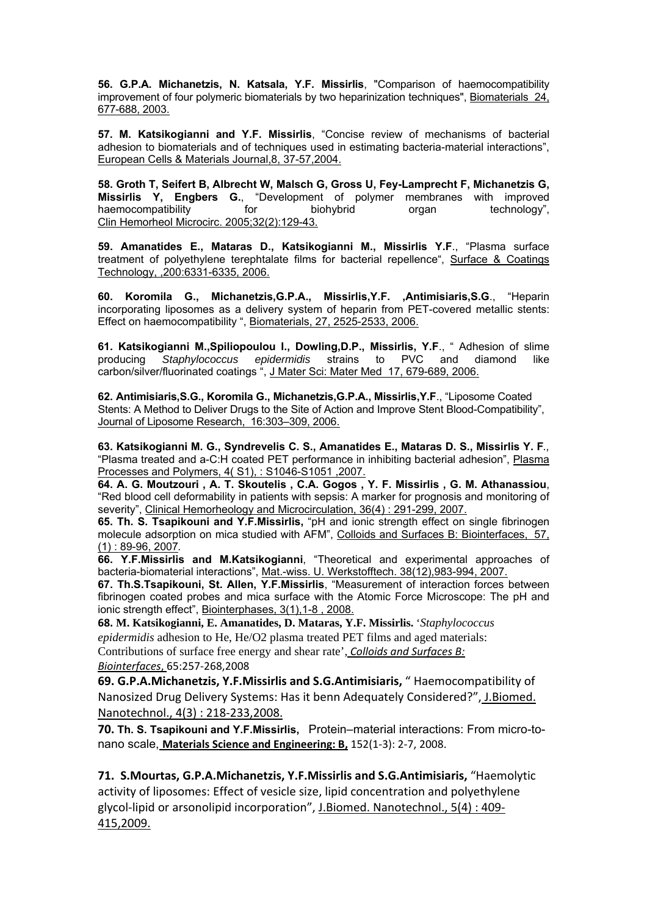**56. G.P.A. Michanetzis, N. Katsala, Y.F. Missirlis**, "Comparison of haemocompatibility improvement of four polymeric biomaterials by two heparinization techniques", Biomaterials 24, 677-688, 2003.

**57. M. Katsikogianni and Y.F. Missirlis**, "Concise review of mechanisms of bacterial adhesion to biomaterials and of techniques used in estimating bacteria-material interactions", European Cells & Materials Journal,8, 37-57,2004.

**58. Groth T, Seifert B, Albrecht W, Malsch G, Gross U, Fey-Lamprecht F, Michanetzis G, Missirlis Y, Engbers G.**, "Development of polymer membranes with improved haemocompatibility for biohybrid organ technology", Clin Hemorheol Microcirc. 2005;32(2):129-43.

**59. Amanatides E., Mataras D., Katsikogianni M., Missirlis Y.F**., "Plasma surface treatment of polyethylene terephtalate films for bacterial repellence", Surface & Coatings Technology, ,200:6331-6335, 2006.

**60. Koromila G., Michanetzis,G.P.A., Missirlis,Y.F. ,Antimisiaris,S.G**., "Heparin incorporating liposomes as a delivery system of heparin from PET-covered metallic stents: Effect on haemocompatibility ", Biomaterials, 27, 2525-2533, 2006.

**61. Katsikogianni M.,Spiliopoulou I., Dowling,D.P., Missirlis, Y.F**., " Adhesion of slime producing *Staphylococcus epidermidis* strains to PVC and diamond like carbon/silver/fluorinated coatings ", J Mater Sci: Mater Med 17, 679-689, 2006.

**62. Antimisiaris,S.G., Koromila G., Michanetzis,G.P.A., Missirlis,Y.F**., "Liposome Coated Stents: A Method to Deliver Drugs to the Site of Action and Improve Stent Blood-Compatibility", Journal of Liposome Research, 16:303–309, 2006.

**63. Katsikogianni M. G., Syndrevelis C. S., Amanatides E., Mataras D. S., Missirlis Y. F***.,*  "Plasma treated and a-C:H coated PET performance in inhibiting bacterial adhesion", Plasma Processes and Polymers, 4( S1), : S1046-S1051 ,2007.

**64. A. G. Moutzouri , A. T. Skoutelis , C.A. Gogos , Y. F. Missirlis , G. M. Athanassiou**, "Red blood cell deformability in patients with sepsis: A marker for prognosis and monitoring of severity", Clinical Hemorheology and Microcirculation, 36(4) : 291-299, 2007.

**65. Th. S. Tsapikouni and Y.F.Missirlis,** "pH and ionic strength effect on single fibrinogen molecule adsorption on mica studied with AFM", Colloids and Surfaces B: Biointerfaces, 57, (1) : 89-96, 2007*.* 

**66. Y.F.Missirlis and M.Katsikogianni**, "Theoretical and experimental approaches of bacteria-biomaterial interactions", Mat.-wiss. U. Werkstofftech. 38(12),983-994, 2007.

**67. Th.S.Tsapikouni, St. Allen, Y.F.Missirlis**, "Measurement of interaction forces between fibrinogen coated probes and mica surface with the Atomic Force Microscope: The pH and ionic strength effect", Biointerphases, 3(1),1-8 , 2008.

**68. M. Katsikogianni, E. Amanatides, D. Mataras, Y.F. Missirlis.** '*Staphylococcus epidermidis* adhesion to He, He/O2 plasma treated PET films and aged materials: Contributions of surface free energy and shear rate', *Colloids and Surfaces B: Biointerfaces*, 65:257‐268,2008

**69. G.P.A.Michanetzis, Y.F.Missirlis and S.G.Antimisiaris,** " Haemocompatibility of Nanosized Drug Delivery Systems: Has it benn Adequately Considered?", J.Biomed. Nanotechnol., 4(3) : 218‐233,2008.

**70. Th. S. Tsapikouni and Y.F.Missirlis,** Protein–material interactions: From micro-tonano scale, **Materials Science and Engineering: B,** 152(1‐3): 2‐7, 2008.

**71. S.Mourtas, G.P.A.Michanetzis, Y.F.Missirlis and S.G.Antimisiaris,** "Haemolytic activity of liposomes: Effect of vesicle size, lipid concentration and polyethylene glycol‐lipid or arsonolipid incorporation", J.Biomed. Nanotechnol., 5(4) : 409‐ 415,2009.